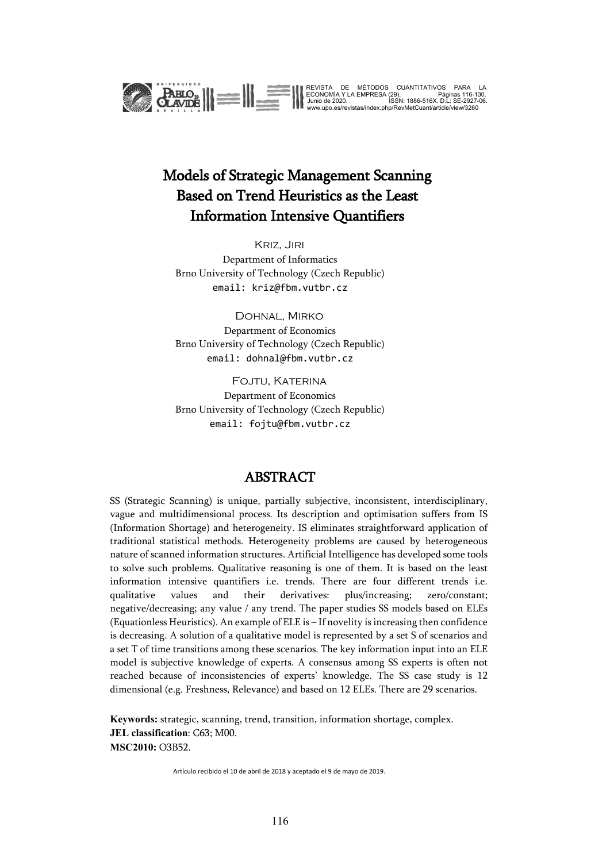

REVISTA DE METODOS CUANTITATIVOS PARA LA<br>ECONOMÍA Y LA EMPRESA (29).<br>Junio de 2020.<br>www.upo.es/revistas/index.php/RevMetCuant/article/view/3260

# Models of Strategic Management Scanning Based on Trend Heuristics as the Least Information Intensive Quantifiers

Kriz, Jiri Department of Informatics Brno University of Technology (Czech Republic) email: kriz@fbm.vutbr.cz

Dohnal, Mirko Department of Economics Brno University of Technology (Czech Republic) email: dohnal@fbm.vutbr.cz

Fojtu, Katerina Department of Economics Brno University of Technology (Czech Republic) email: fojtu@fbm.vutbr.cz

## ABSTRACT

SS (Strategic Scanning) is unique, partially subjective, inconsistent, interdisciplinary, vague and multidimensional process. Its description and optimisation suffers from IS (Information Shortage) and heterogeneity. IS eliminates straightforward application of traditional statistical methods. Heterogeneity problems are caused by heterogeneous nature of scanned information structures. Artificial Intelligence has developed some tools to solve such problems. Qualitative reasoning is one of them. It is based on the least information intensive quantifiers i.e. trends. There are four different trends i.e. qualitative values and their derivatives: plus/increasing; zero/constant; negative/decreasing; any value / any trend. The paper studies SS models based on ELEs (Equationless Heuristics). An example of ELE is – If novelity is increasing then confidence is decreasing. A solution of a qualitative model is represented by a set S of scenarios and a set T of time transitions among these scenarios. The key information input into an ELE model is subjective knowledge of experts. A consensus among SS experts is often not reached because of inconsistencies of experts' knowledge. The SS case study is 12 dimensional (e.g. Freshness, Relevance) and based on 12 ELEs. There are 29 scenarios.

**Keywords:** strategic, scanning, trend, transition, information shortage, complex. **JEL classification**: C63; M00. **MSC2010:** O3B52.

Artículo recibido el 10 de abril de 2018 y aceptado el 9 de mayo de 2019.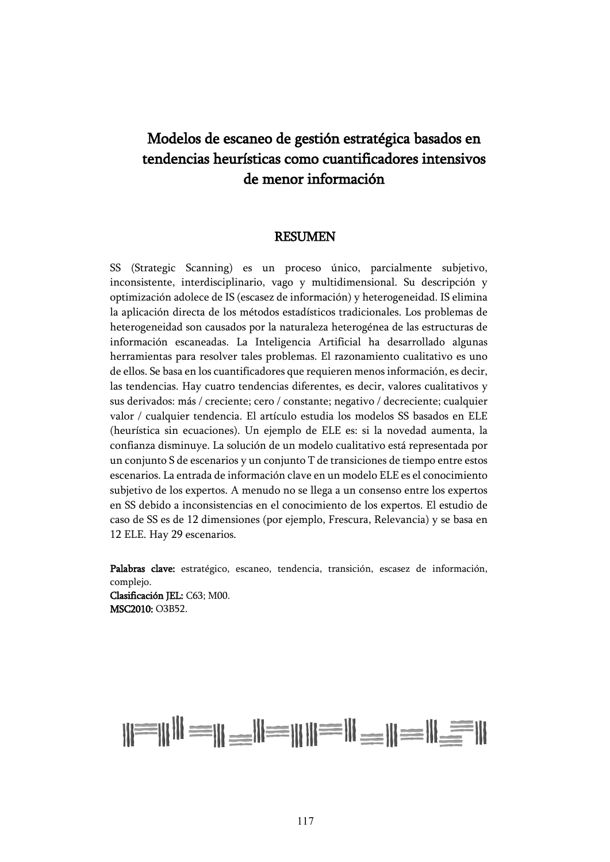# Modelos de escaneo de gestión estratégica basados en tendencias heurísticas como cuantificadores intensivos de menor información

## RESUMEN

SS (Strategic Scanning) es un proceso único, parcialmente subjetivo, inconsistente, interdisciplinario, vago y multidimensional. Su descripción y optimización adolece de IS (escasez de información) y heterogeneidad. IS elimina la aplicación directa de los métodos estadísticos tradicionales. Los problemas de heterogeneidad son causados por la naturaleza heterogénea de las estructuras de información escaneadas. La Inteligencia Artificial ha desarrollado algunas herramientas para resolver tales problemas. El razonamiento cualitativo es uno de ellos. Se basa en los cuantificadores que requieren menos información, es decir, las tendencias. Hay cuatro tendencias diferentes, es decir, valores cualitativos y sus derivados: más / creciente; cero / constante; negativo / decreciente; cualquier valor / cualquier tendencia. El artículo estudia los modelos SS basados en ELE (heurística sin ecuaciones). Un ejemplo de ELE es: si la novedad aumenta, la confianza disminuye. La solución de un modelo cualitativo está representada por un conjunto S de escenarios y un conjunto T de transiciones de tiempo entre estos escenarios. La entrada de información clave en un modelo ELE es el conocimiento subjetivo de los expertos. A menudo no se llega a un consenso entre los expertos en SS debido a inconsistencias en el conocimiento de los expertos. El estudio de caso de SS es de 12 dimensiones (por ejemplo, Frescura, Relevancia) y se basa en 12 ELE. Hay 29 escenarios.

Palabras clave: estratégico, escaneo, tendencia, transición, escasez de información, complejo. Clasificación JEL: C63; M00. MSC2010: O3B52.

# $||\equiv|||$   $||\equiv||\equiv||\equiv||\equiv||\equiv||\equiv||$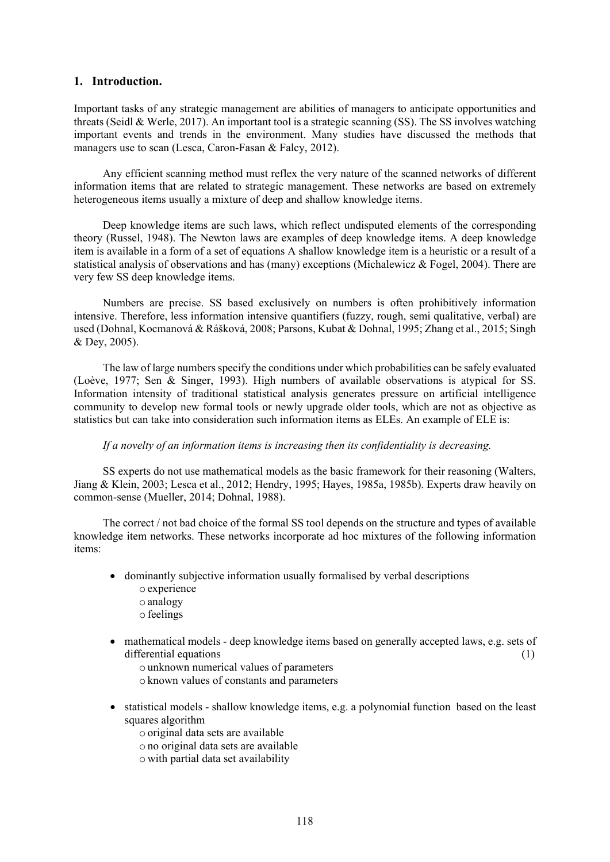### **1. Introduction.**

Important tasks of any strategic management are abilities of managers to anticipate opportunities and threats (Seidl & Werle, 2017). An important tool is a strategic scanning (SS). The SS involves watching important events and trends in the environment. Many studies have discussed the methods that managers use to scan (Lesca, Caron-Fasan & Falcy, 2012).

Any efficient scanning method must reflex the very nature of the scanned networks of different information items that are related to strategic management. These networks are based on extremely heterogeneous items usually a mixture of deep and shallow knowledge items.

Deep knowledge items are such laws, which reflect undisputed elements of the corresponding theory (Russel, 1948). The Newton laws are examples of deep knowledge items. A deep knowledge item is available in a form of a set of equations A shallow knowledge item is a heuristic or a result of a statistical analysis of observations and has (many) exceptions (Michalewicz & Fogel, 2004). There are very few SS deep knowledge items.

Numbers are precise. SS based exclusively on numbers is often prohibitively information intensive. Therefore, less information intensive quantifiers (fuzzy, rough, semi qualitative, verbal) are used (Dohnal, Kocmanová & Rášková, 2008; Parsons, Kubat & Dohnal, 1995; Zhang et al., 2015; Singh & Dey, 2005).

The law of large numbers specify the conditions under which probabilities can be safely evaluated (Loève, 1977; Sen & Singer, 1993). High numbers of available observations is atypical for SS. Information intensity of traditional statistical analysis generates pressure on artificial intelligence community to develop new formal tools or newly upgrade older tools, which are not as objective as statistics but can take into consideration such information items as ELEs. An example of ELE is:

#### *If a novelty of an information items is increasing then its confidentiality is decreasing.*

SS experts do not use mathematical models as the basic framework for their reasoning (Walters, Jiang & Klein, 2003; Lesca et al., 2012; Hendry, 1995; Hayes, 1985a, 1985b). Experts draw heavily on common-sense (Mueller, 2014; Dohnal, 1988).

The correct / not bad choice of the formal SS tool depends on the structure and types of available knowledge item networks. These networks incorporate ad hoc mixtures of the following information items:

- dominantly subjective information usually formalised by verbal descriptions oexperience oanalogy ofeelings
- mathematical models deep knowledge items based on generally accepted laws, e.g. sets of differential equations (1)

ounknown numerical values of parameters

oknown values of constants and parameters

- statistical models shallow knowledge items, e.g. a polynomial function based on the least squares algorithm
	- ooriginal data sets are available
	- ono original data sets are available
	- o with partial data set availability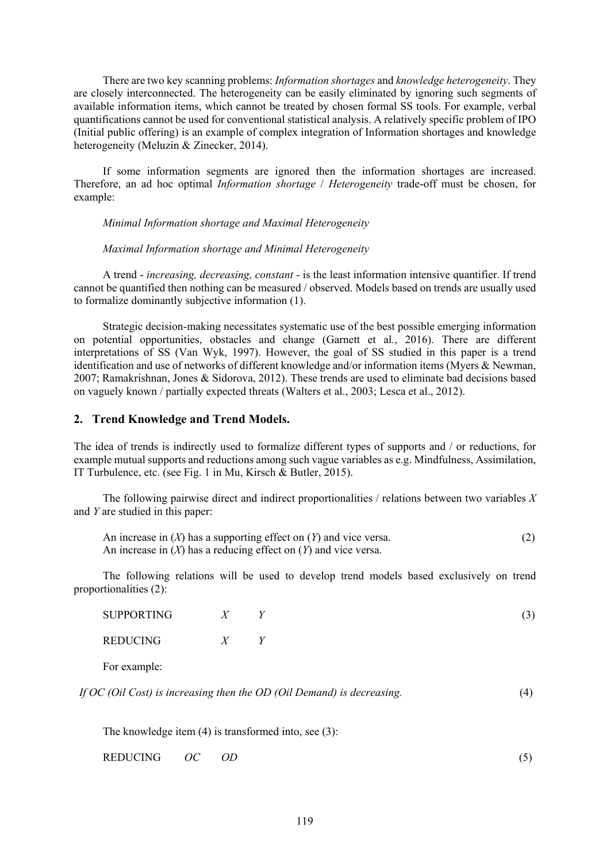There are two key scanning problems: *Information shortages* and *knowledge heterogeneity*. They are closely interconnected. The heterogeneity can be easily eliminated by ignoring such segments of available information items, which cannot be treated by chosen formal SS tools. For example, verbal quantifications cannot be used for conventional statistical analysis. A relatively specific problem of IPO (Initial public offering) is an example of complex integration of Information shortages and knowledge heterogeneity (Meluzin & Zinecker, 2014).

If some information segments are ignored then the information shortages are increased. Therefore, an ad hoc optimal *Information shortage* / *Heterogeneity* trade-off must be chosen, for example:

*Minimal Information shortage and Maximal Heterogeneity*

#### *Maximal Information shortage and Minimal Heterogeneity*

A trend - *increasing, decreasing, constant* - is the least information intensive quantifier. If trend cannot be quantified then nothing can be measured / observed. Models based on trends are usually used to formalize dominantly subjective information (1).

Strategic decision-making necessitates systematic use of the best possible emerging information on potential opportunities, obstacles and change (Garnett et al*.*, 2016). There are different interpretations of SS (Van Wyk, 1997). However, the goal of SS studied in this paper is a trend identification and use of networks of different knowledge and/or information items (Myers & Newman, 2007; Ramakrishnan, Jones & Sidorova, 2012). These trends are used to eliminate bad decisions based on vaguely known / partially expected threats (Walters et al., 2003; Lesca et al., 2012).

#### **2. Trend Knowledge and Trend Models.**

The idea of trends is indirectly used to formalize different types of supports and / or reductions, for example mutual supports and reductions among such vague variables as e.g. Mindfulness, Assimilation, IT Turbulence, etc. (see Fig. 1 in Mu, Kirsch & Butler, 2015).

The following pairwise direct and indirect proportionalities / relations between two variables *X* and *Y* are studied in this paper:

An increase in (*X*) has a supporting effect on (*Y*) and vice versa. (2) An increase in (*X*) has a reducing effect on (*Y*) and vice versa.

The following relations will be used to develop trend models based exclusively on trend proportionalities (2):

| SUPPORTING   | X       |   | (3) |
|--------------|---------|---|-----|
| REDUCING     | $X_{-}$ | Y |     |
| For example: |         |   |     |

*If OC (Oil Cost) is increasing then the OD (Oil Demand) is decreasing.* (4)

The knowledge item (4) is transformed into, see (3):

REDUCING *OC OD* (5)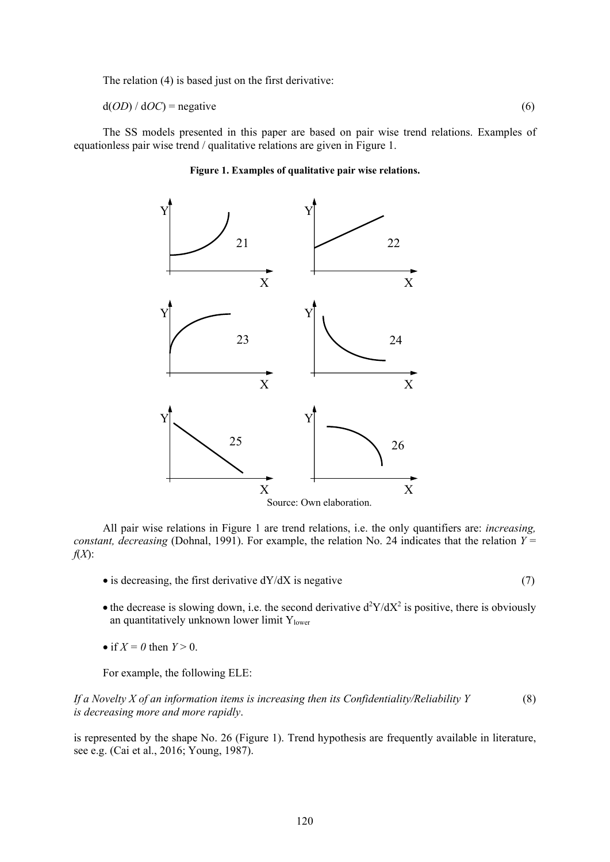The relation (4) is based just on the first derivative:

 $d(OD) / dOC$  = negative (6)

The SS models presented in this paper are based on pair wise trend relations. Examples of equationless pair wise trend / qualitative relations are given in Figure 1.



#### **Figure 1. Examples of qualitative pair wise relations.**

Source: Own elaboration.

All pair wise relations in Figure 1 are trend relations, i.e. the only quantifiers are: *increasing, constant, decreasing* (Dohnal, 1991). For example, the relation No. 24 indicates that the relation *Y* = *f*(*X*):

• is decreasing, the first derivative  $dY/dX$  is negative (7)

• the decrease is slowing down, i.e. the second derivative  $d^2Y/dX^2$  is positive, there is obviously an quantitatively unknown lower limit  $Y_{lower}$ 

• if  $X = 0$  then  $Y > 0$ .

For example, the following ELE:

*If a Novelty X of an information items is increasing then its Confidentiality/Reliability Y* (8) *is decreasing more and more rapidly*.

is represented by the shape No. 26 (Figure 1). Trend hypothesis are frequently available in literature, see e.g. (Cai et al., 2016; Young, 1987).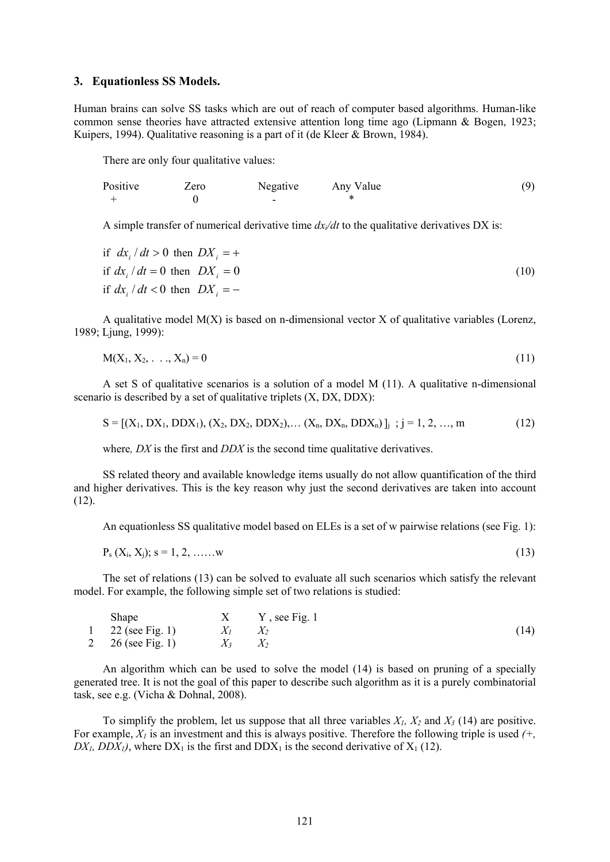#### **3. Equationless SS Models.**

Human brains can solve SS tasks which are out of reach of computer based algorithms. Human-like common sense theories have attracted extensive attention long time ago (Lipmann & Bogen, 1923; Kuipers, 1994). Qualitative reasoning is a part of it (de Kleer & Brown, 1984).

There are only four qualitative values:

Positive Zero Negative Any Value (9)  $+\qquad\qquad\qquad0\qquad\qquad\qquad\qquad\qquad\qquad\qquad\qquad\qquad\ast$ 

A simple transfer of numerical derivative time  $dx/dt$  to the qualitative derivatives DX is:

if  $dx_i/dt > 0$  then  $DX_i = +$ if  $dx_i/dt = 0$  then  $DX_i = 0$  (10) if  $dx_i/dt < 0$  then  $DX_i = -$ 

A qualitative model  $M(X)$  is based on n-dimensional vector X of qualitative variables (Lorenz, 1989; Ljung, 1999):

$$
M(X_1, X_2, \ldots, X_n) = 0 \tag{11}
$$

A set S of qualitative scenarios is a solution of a model M (11). A qualitative n-dimensional scenario is described by a set of qualitative triplets (X, DX, DDX):

$$
S = [(X_1, DX_1, DDX_1), (X_2, DX_2, DDX_2), \dots (X_n, DX_n, DDX_n)]_i ; j = 1, 2, ..., m
$$
 (12)

where*, DX* is the first and *DDX* is the second time qualitative derivatives.

SS related theory and available knowledge items usually do not allow quantification of the third and higher derivatives. This is the key reason why just the second derivatives are taken into account  $(12)$ .

An equationless SS qualitative model based on ELEs is a set of w pairwise relations (see Fig. 1):

$$
P_s(X_i, X_j); s = 1, 2, \dots, w \tag{13}
$$

The set of relations (13) can be solved to evaluate all such scenarios which satisfy the relevant model. For example, the following simple set of two relations is studied:

| Shape             |             | $X \tY$ , see Fig. 1 |      |
|-------------------|-------------|----------------------|------|
| 1 22 (see Fig. 1) |             | $X_1$ $X_2$          | (14) |
| 2 26 (see Fig. 1) | $X_3$ $X_2$ |                      |      |

An algorithm which can be used to solve the model (14) is based on pruning of a specially generated tree. It is not the goal of this paper to describe such algorithm as it is a purely combinatorial task, see e.g. (Vicha & Dohnal, 2008).

To simplify the problem, let us suppose that all three variables  $X_l$ ,  $X_2$  and  $X_3$  (14) are positive. For example,  $X_l$  is an investment and this is always positive. Therefore the following triple is used  $/+$ ,  $DX_1$ ,  $DDX_1$ ), where  $DX_1$  is the first and  $DDX_1$  is the second derivative of  $X_1$  (12).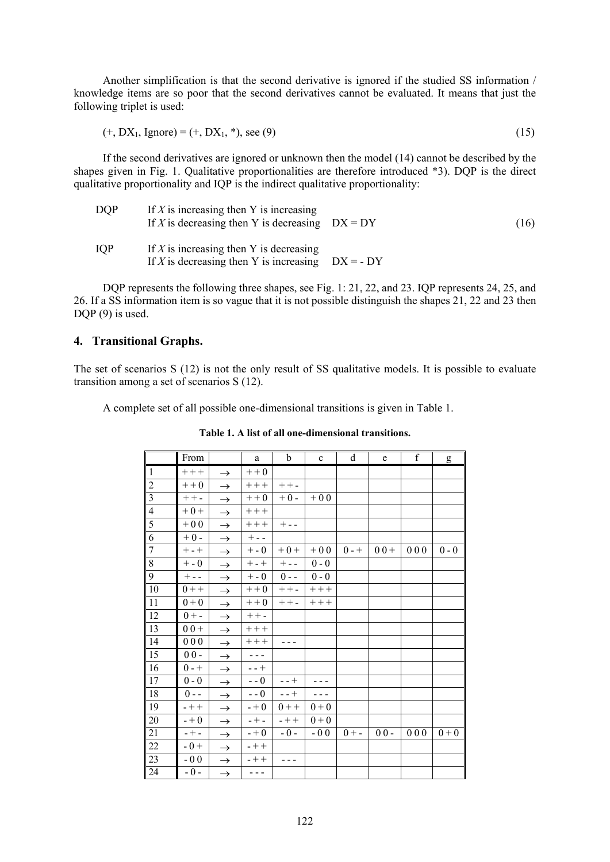Another simplification is that the second derivative is ignored if the studied SS information / knowledge items are so poor that the second derivatives cannot be evaluated. It means that just the following triplet is used:

$$
(+, DX1, Ignore) = (+, DX1, *), see (9)
$$
\n(15)

If the second derivatives are ignored or unknown then the model (14) cannot be described by the shapes given in Fig. 1. Qualitative proportionalities are therefore introduced \*3). DQP is the direct qualitative proportionality and IQP is the indirect qualitative proportionality:

| DOP        | If $X$ is increasing then Y is increasing<br>If X is decreasing then Y is decreasing $DX = DY$ | (16) |
|------------|------------------------------------------------------------------------------------------------|------|
| <b>IOP</b> | If $X$ is increasing then Y is decreasing<br>If X is decreasing then Y is increasing $DX = DY$ |      |

DQP represents the following three shapes, see Fig. 1: 21, 22, and 23. IQP represents 24, 25, and 26. If a SS information item is so vague that it is not possible distinguish the shapes 21, 22 and 23 then DQP  $(9)$  is used.

# **4. Transitional Graphs.**

The set of scenarios S (12) is not the only result of SS qualitative models. It is possible to evaluate transition among a set of scenarios S (12).

A complete set of all possible one-dimensional transitions is given in Table 1.

| Г               | From             |               | a       | $\mathbf b$ | $\mathbf c$ | d       | e      | $\mathbf f$ | g       |
|-----------------|------------------|---------------|---------|-------------|-------------|---------|--------|-------------|---------|
| $\overline{1}$  | $++ +$           | $\rightarrow$ | $++0$   |             |             |         |        |             |         |
| $\overline{2}$  | $+ + 0$          | $\rightarrow$ | $++ +$  | $++-$       |             |         |        |             |         |
| $\overline{3}$  | $++-$            | $\rightarrow$ | $+ + 0$ | $+0-$       | $+0.0$      |         |        |             |         |
| $\overline{4}$  | $+0+$            | $\rightarrow$ | $+++$   |             |             |         |        |             |         |
| $\overline{5}$  | $+00$            | $\rightarrow$ | $++++$  | $+ - -$     |             |         |        |             |         |
| $\overline{6}$  | $+0-$            | $\rightarrow$ | $+ - -$ |             |             |         |        |             |         |
| $\overline{7}$  | $+\,$ - $\,+\,$  | $\rightarrow$ | $+ - 0$ | $+0+$       | $+00$       | $0 - +$ | $00+$  | 000         | $0 - 0$ |
| $\overline{8}$  | $+ - 0$          | $\rightarrow$ | $+ - +$ | $+ - -$     | $0 - 0$     |         |        |             |         |
| $\overline{9}$  | $+$ - $\text{-}$ | $\rightarrow$ | $+ - 0$ | $0 - -$     | $0 - 0$     |         |        |             |         |
| 10              | $0 + +$          | $\rightarrow$ | $+ + 0$ | $++-$       | $+++$       |         |        |             |         |
| $\overline{11}$ | $0+0$            | $\rightarrow$ | $+ + 0$ | $++-$       | $++$        |         |        |             |         |
| 12              | $0 + -$          | $\rightarrow$ | $++-$   |             |             |         |        |             |         |
| 13              | $00+$            | $\rightarrow$ | $+++$   |             |             |         |        |             |         |
| 14              | 000              | $\rightarrow$ | $++ +$  |             |             |         |        |             |         |
| 15              | $00 -$           | $\rightarrow$ | $- - -$ |             |             |         |        |             |         |
| <sup>16</sup>   | $0 - +$          | $\rightarrow$ | $- - +$ |             |             |         |        |             |         |
| 17              | $0 - 0$          | $\rightarrow$ | $- - 0$ | $- - +$     | - - -       |         |        |             |         |
| 18              | $0 - -$          | $\rightarrow$ | $- - 0$ | $- - +$     | $- - -$     |         |        |             |         |
| $\sqrt{19}$     | $- + +$          | $\rightarrow$ | $-+0$   | $0 + +$     | $0 + 0$     |         |        |             |         |
| 20              | $-+0$            | $\rightarrow$ | $- + -$ | $- + +$     | $0 + 0$     |         |        |             |         |
| 21              | $- + -$          | $\rightarrow$ | $- + 0$ | $-0-$       | $-00$       | $0 + -$ | $00 -$ | 000         | $0 + 0$ |
| 22              | $-0+$            | $\rightarrow$ | $- + +$ |             |             |         |        |             |         |
| 23              | $-00$            | $\rightarrow$ | $- + +$ | ---         |             |         |        |             |         |
| 24              | $-0-$            | $\rightarrow$ | $- - -$ |             |             |         |        |             |         |

**Table 1. A list of all one-dimensional transitions.**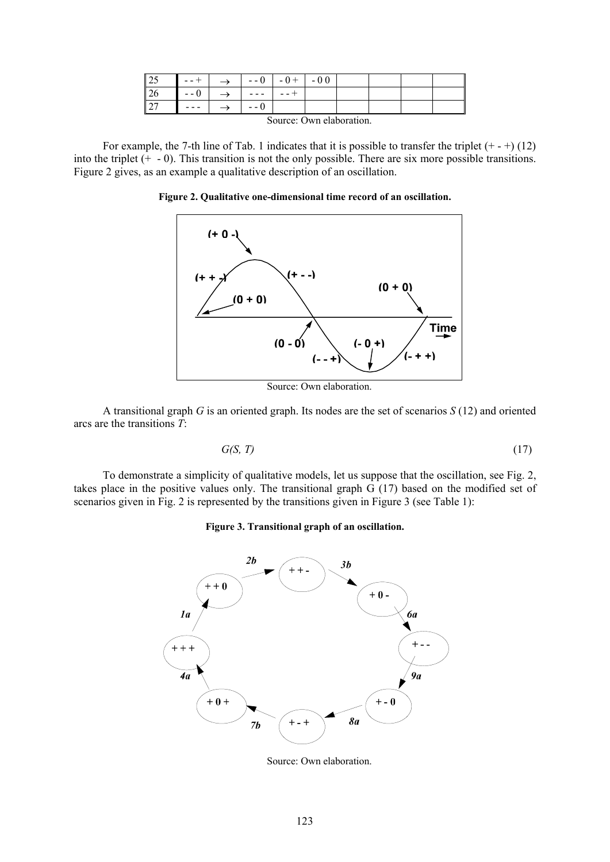| $2^5$         |                                  | $-+$ $\rightarrow$ $-0$ $-0$ $-0$ $-0$ |  |  |  |
|---------------|----------------------------------|----------------------------------------|--|--|--|
| <sup>26</sup> | $\leftarrow$ - 0   $\rightarrow$ | $  -$                                  |  |  |  |
| 27            |                                  | $- - 0$                                |  |  |  |
|               |                                  |                                        |  |  |  |

Source: Own elaboration.

For example, the 7-th line of Tab. 1 indicates that it is possible to transfer the triplet  $(+ - +)(12)$ into the triplet (+ - 0). This transition is not the only possible. There are six more possible transitions. Figure 2 gives, as an example a qualitative description of an oscillation.

**Figure 2. Qualitative one-dimensional time record of an oscillation.**



Source: Own elaboration.

A transitional graph *G* is an oriented graph. Its nodes are the set of scenarios *S* (12) and oriented arcs are the transitions *T*:

$$
G(S, T) \tag{17}
$$

To demonstrate a simplicity of qualitative models, let us suppose that the oscillation, see Fig. 2, takes place in the positive values only. The transitional graph G (17) based on the modified set of scenarios given in Fig. 2 is represented by the transitions given in Figure 3 (see Table 1):

#### **Figure 3. Transitional graph of an oscillation.**



Source: Own elaboration.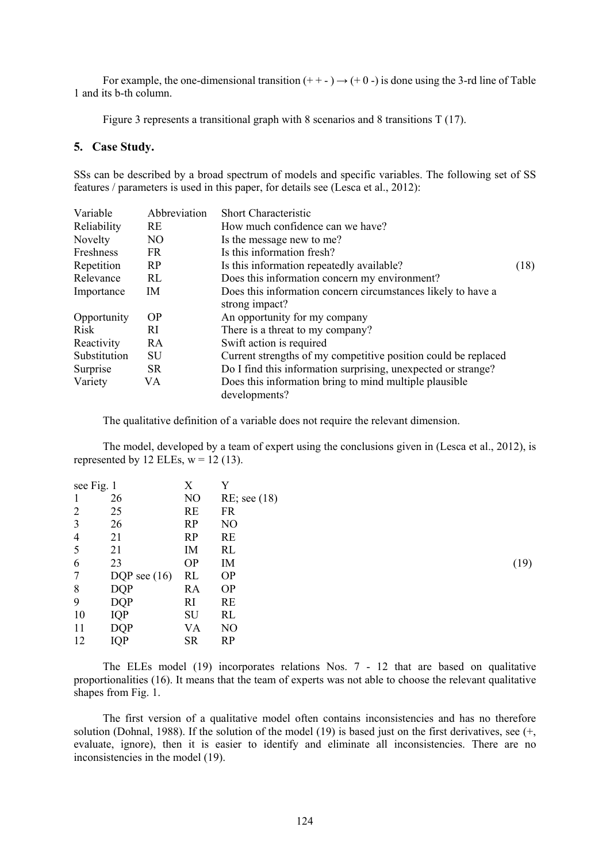For example, the one-dimensional transition  $(+ -) \rightarrow (+ 0 -)$  is done using the 3-rd line of Table 1 and its b-th column.

Figure 3 represents a transitional graph with 8 scenarios and 8 transitions T (17).

#### **5. Case Study.**

SSs can be described by a broad spectrum of models and specific variables. The following set of SS features / parameters is used in this paper, for details see (Lesca et al., 2012):

| Variable     | Abbreviation | Short Characteristic                                           |      |
|--------------|--------------|----------------------------------------------------------------|------|
| Reliability  | <b>RE</b>    | How much confidence can we have?                               |      |
| Novelty      | NO.          | Is the message new to me?                                      |      |
| Freshness    | <b>FR</b>    | Is this information fresh?                                     |      |
| Repetition   | <b>RP</b>    | Is this information repeatedly available?                      | (18) |
| Relevance    | RL           | Does this information concern my environment?                  |      |
| Importance   | IM.          | Does this information concern circumstances likely to have a   |      |
|              |              | strong impact?                                                 |      |
| Opportunity  | <b>OP</b>    | An opportunity for my company                                  |      |
| <b>Risk</b>  | RI           | There is a threat to my company?                               |      |
| Reactivity   | RA           | Swift action is required                                       |      |
| Substitution | SU           | Current strengths of my competitive position could be replaced |      |
| Surprise     | <b>SR</b>    | Do I find this information surprising, unexpected or strange?  |      |
| Variety      | VA           | Does this information bring to mind multiple plausible         |      |
|              |              | developments?                                                  |      |

The qualitative definition of a variable does not require the relevant dimension.

The model, developed by a team of expert using the conclusions given in (Lesca et al., 2012), is represented by 12 ELEs,  $w = 12$  (13).

| see Fig. 1     |                | X         | Y              |      |
|----------------|----------------|-----------|----------------|------|
| 1              | 26             | NO        | RE; see (18)   |      |
| $\overline{2}$ | 25             | <b>RE</b> | <b>FR</b>      |      |
| $\mathfrak{Z}$ | 26             | RP        | N <sub>O</sub> |      |
| $\overline{4}$ | 21             | RP        | <b>RE</b>      |      |
| 5              | 21             | ΙM        | RL             |      |
| 6              | 23             | <b>OP</b> | IM             | (19) |
| $\tau$         | DQP see $(16)$ | RL        | <b>OP</b>      |      |
| 8              | <b>DOP</b>     | RA        | <b>OP</b>      |      |
| 9              | <b>DQP</b>     | RI        | <b>RE</b>      |      |
| 10             | <b>IQP</b>     | SU        | RL             |      |
| 11             | <b>DQP</b>     | VA        | N <sub>O</sub> |      |
| 12             | <b>IQP</b>     | <b>SR</b> | RP             |      |

The ELEs model (19) incorporates relations Nos. 7 - 12 that are based on qualitative proportionalities (16). It means that the team of experts was not able to choose the relevant qualitative shapes from Fig. 1.

The first version of a qualitative model often contains inconsistencies and has no therefore solution (Dohnal, 1988). If the solution of the model (19) is based just on the first derivatives, see (+, evaluate, ignore), then it is easier to identify and eliminate all inconsistencies. There are no inconsistencies in the model (19).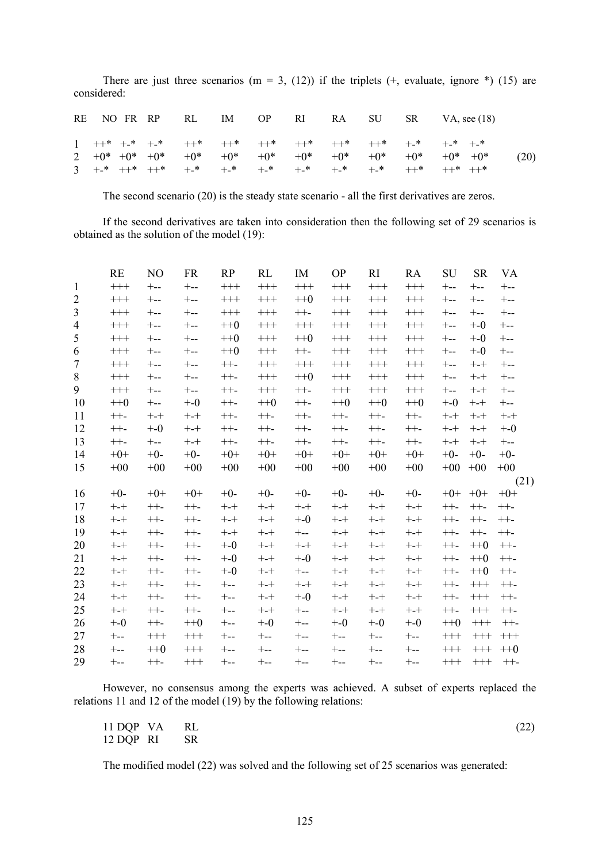There are just three scenarios ( $m = 3$ , (12)) if the triplets ( $+$ , evaluate, ignore  $*$ ) (15) are considered:

|  |  |  |  |  | RE NO FR RP RL IM OP RI RA SU SR VA, see (18) |      |
|--|--|--|--|--|-----------------------------------------------|------|
|  |  |  |  |  |                                               |      |
|  |  |  |  |  | $+0^*$ +0 <sup>*</sup>                        | (20) |
|  |  |  |  |  |                                               |      |

The second scenario (20) is the steady state scenario - all the first derivatives are zeros.

If the second derivatives are taken into consideration then the following set of 29 scenarios is obtained as the solution of the model (19):

|              | <b>RE</b>           | NO       | <b>FR</b> | RP       | RL       | IM       | <b>OP</b> | RI         | RA        | SU        | <b>SR</b> | VA      |
|--------------|---------------------|----------|-----------|----------|----------|----------|-----------|------------|-----------|-----------|-----------|---------|
| $\mathbf{1}$ | $++++ \label{eq:1}$ | $+--$    | $+--$     | $^{+++}$ | $^{+++}$ | $^{+++}$ | $^{+++}$  | $^{+++}$   | $^{+++}$  | $+ - -$   | $+ - -$   | $+ - -$ |
| 2            | $^{+++}$            | $+ -$    | $+ - -$   | $^{+++}$ | $^{+++}$ | $^{++0}$ | $^{+++}$  | $^{+++}$   | $^{+++}$  | $+ - -$   | $+ - -$   | $+ - -$ |
| 3            | $+++$               | $+ - -$  | $+ - -$   | $^{+++}$ | $+++$    | $++-$    | $^{+++}$  | $^{+++}$   | $^{+++}$  | $+ - -$   | $+ - -$   | $+ - -$ |
| 4            | $+++$               | $+ - -$  | $+ - -$   | $^{++0}$ | $^{+++}$ | $+++$    | $^{+++}$  | $^{+++}$   | $+++$     | +--       | $+ - 0$   | $+ - -$ |
| 5            | $^{+++}$            | $+ - -$  | $+ - -$   | $^{++0}$ | $+++$    | $^{++0}$ | $+++$     | $+++$      | $^{+++}$  | $+ -$     | $+ -0$    | $+ - -$ |
| 6            | $^{+++}$            | $+ - -$  | $+ - -$   | $++0$    | $^{+++}$ | $++-$    | $^{+++}$  | $^{+++}$   | $^{+++}$  | $+ - -$   | $+ -0$    | $+ - -$ |
| 7            | $^{+++}$            | $+ - -$  | $+ - -$   | $++-$    | $^{+++}$ | $^{+++}$ | $^{+++}$  | $^{+++}$   | $^{+++}$  | $+ - -$   | $+ - +$   | $+ - -$ |
| 8            | $+++$               | $+ - -$  | $+--$     | $++-$    | $^{+++}$ | $^{++0}$ | $^{+++}$  | $^{+++}$   | $^{+++}$  | $+ -$     | $+ - +$   | $+ - -$ |
| 9            | $^{+++}$            | $+ - -$  | $+ - -$   | $++-$    | $^{+++}$ | $++-$    | $^{+++}$  | $^{+++}$   | $+++$     | $+ - -$   | $+ - +$   | $+ - -$ |
| 10           | $^{++0}$            | $+ - -$  | $+ -0$    | $++-$    | $^{++0}$ | $++-$    | $^{++0}$  | $^{++0}$   | $^{++0}$  | $+ -0$    | $+ - +$   | $+ - -$ |
| 11           | $++-$               | $+ - +$  | $+ - +$   | $++-$    | $++-$    | $++-$    | $++-$     | $++-$      | $++-$     | $^{++-+}$ | $+ - +$   | $+ - +$ |
| 12           | $++-$               | $+-0$    | $+ - +$   | $++-$    | $++-$    | $++-$    | $++-$     | $++-$      | $++-$     | $^{++}$   | $+ - +$   | $+ -0$  |
| 13           | $++-$               | $+--$    | $+ - +$   | $++-$    | $++-$    | $++-$    | $++-$     | $++-$      | $++-$     | $+ - +$   | $+ - +$   | $+ - -$ |
| 14           | $+0+$               | $+0-$    | $+0-$     | $+0+$    | $+0+$    | $+0+$    | $+0+$     | $+0+$      | $+0+$     | $+0-$     | $+0-$     | $+0-$   |
| 15           | $+00$               | $+00$    | $+00$     | $+00$    | $+00$    | $+00$    | $+00$     | $+00$      | $+00$     | $+00$     | $+00$     | $+00$   |
|              |                     |          |           |          |          |          |           |            |           |           |           | (21)    |
| 16           | $+0-$               | $+0+$    | $+0+$     | $+0-$    | $+0-$    | $+0-$    | $+0-$     | $+0-$      | $+0-$     | $+0+$     | $+0+$     | $+0+$   |
| 17           | $+ - +$             | $++-$    | $++-$     | $+ - +$  | $+ - +$  | $+ - +$  | $+ - +$   | $+ - +$    | $^{++-}$  | $++-$     | $++-$     | $++-$   |
| 18           | $+ - +$             | $++-$    | $++-$     | $+ - +$  | $+ - +$  | $+-0$    | $+ - +$   | $+ - +$    | $+ - +$   | $++-$     | $++-$     | $++-$   |
| 19           | $^{++-}$            | $++-$    | $++-$     | $+ - +$  | $+ - +$  | $+ - -$  | $+ - +$   | $+ - +$    | $^{++-+}$ | $++-$     | $++-$     | $++-$   |
| 20           | $+ - +$             | $++-$    | $++-$     | $+ -0$   | $+ - +$  | $+ - +$  | $+ - +$   | $+ - +$    | $+ - +$   | $++-$     | $^{++0}$  | $++-$   |
| 21           | $+ - +$             | $++-$    | $++-$     | $+ -0$   | $+ - +$  | $+ -0$   | $+ - +$   | $+ - +$    | $+ - +$   | $++-$     | $^{++0}$  | $++-$   |
| 22           | $^{++-}$            | $++-$    | $++-$     | $+ -0$   | $+ - +$  | $+--$    | $+ - +$   | $+ - +$    | $+ - +$   | $++-$     | $^{++0}$  | $++-$   |
| 23           | $^{++-}$            | $++-$    | $++-$     | $+--$    | $+ - +$  | $+ - +$  | $+ - +$   | $+ - +$    | $+ - +$   | $++-$     | $+++$     | $++-$   |
| 24           | $^{++-+}$           | $++-$    | $++-$     | $+--$    | $+ - +$  | $+ -0$   | $+ - +$   | $^{+ - +}$ | $^{++}$   | $++-$     | $+++$     | $++-$   |
| 25           | $+ - +$             | $++-$    | $++-$     | $+ - -$  | $+ - +$  | $+ - -$  | $+ - +$   | $+ - +$    | $+ - +$   | $++-$     | $^{+++}$  | $++-$   |
| 26           | $+ -0$              | $++-$    | $^{++0}$  | $+ -$    | $+ -0$   | $+ - -$  | $+ -0$    | $+-0$      | $+-0$     | $^{++0}$  | $^{+++}$  | $++-$   |
| 27           | $+--$               | $+++$    | $+++$     | $+ -$    | $+--$    | $+ -$    | $+ - -$   | $+--$      | $+ - -$   | $^{+++}$  | $+++$     | $+++$   |
| 28           | $+ - -$             | $^{++0}$ | $+++$     | $+ - -$  | $+ - -$  | $+ - -$  | $+ - -$   | $+ - -$    | $+ - -$   | $^{+++}$  | $^{+++}$  | $++0$   |
| 29           | $+ -$               | $++-$    | $^{+++}$  | $+ - -$  | $+ - -$  | $+ - -$  | $+ - -$   | $+ - -$    | $+ - -$   | $^{+++}$  | $^{+++}$  | $++-$   |

However, no consensus among the experts was achieved. A subset of experts replaced the relations 11 and 12 of the model (19) by the following relations:

11 DQP VA RL (22) 12 DQP RI SR

The modified model (22) was solved and the following set of 25 scenarios was generated: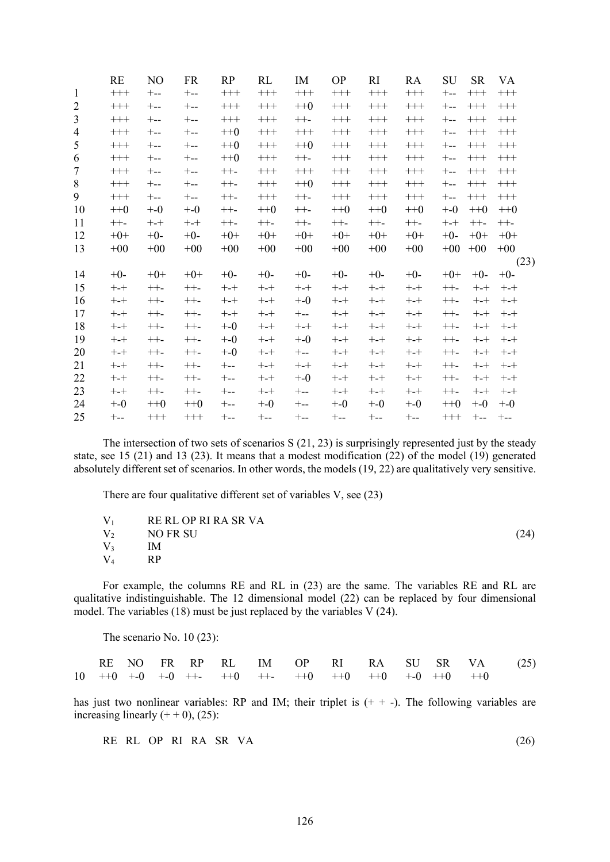|              | RE       | N <sub>O</sub> | <b>FR</b> | RP       | RL       | IM       | <b>OP</b> | RI       | RA       | SU       | <b>SR</b> | VA        |
|--------------|----------|----------------|-----------|----------|----------|----------|-----------|----------|----------|----------|-----------|-----------|
| $\mathbf{1}$ | $^{+++}$ | $+ - -$        | $+--$     | $^{+++}$ | $^{+++}$ | $^{+++}$ | $^{+++}$  | $^{+++}$ | $^{+++}$ | $+ -$    | $^{+++}$  | $^{+++}$  |
| 2            | $+++$    | $+ - -$        | $+ - -$   | $^{+++}$ | $+++$    | $++0$    | $^{+++}$  | $^{+++}$ | $^{+++}$ | $+ -$    | $+++$     | $^{+++}$  |
| 3            | $^{+++}$ | $+ - -$        | $+ - -$   | $+++$    | $^{+++}$ | $++-$    | $^{+++}$  | $^{+++}$ | $^{+++}$ | $+ - -$  | $^{+++}$  | $^{+++}$  |
| 4            | $^{+++}$ | $+ - -$        | $+ - -$   | $^{++0}$ | $^{+++}$ | $^{+++}$ | $^{+++}$  | $^{+++}$ | $^{+++}$ | $+ - -$  | $^{+++}$  | $^{+++}$  |
| 5            | $^{+++}$ | $+ - -$        | $+ - -$   | $^{++0}$ | $^{+++}$ | $^{++0}$ | $^{+++}$  | $^{+++}$ | $^{+++}$ | $+ - -$  | $+++$     | $^{+++}$  |
| 6            | $^{+++}$ | $+ - -$        | $+ - -$   | $^{++0}$ | $^{+++}$ | $++-$    | $^{+++}$  | $^{+++}$ | $^{+++}$ | $+ - -$  | $^{+++}$  | $^{+++}$  |
| 7            | $^{+++}$ | $+ - -$        | $+ - -$   | $++-$    | $^{+++}$ | $^{+++}$ | $^{+++}$  | $^{+++}$ | $^{+++}$ | $+ - -$  | $^{+++}$  | $+++$     |
| 8            | $^{+++}$ | $+ - -$        | $+ - -$   | $++-$    | $^{+++}$ | $^{++0}$ | $^{+++}$  | $^{+++}$ | $^{+++}$ | $+ - -$  | $^{+++}$  | $^{+++}$  |
| 9            | $+++$    | $+ - -$        | $+ - -$   | $++-$    | $+++$    | $++-$    | $+++$     | $+++$    | $+++$    | $+ -$    | $^{+++}$  | $^{+++}$  |
| 10           | $^{++0}$ | $+ -0$         | $+ -0$    | $++-$    | $^{++0}$ | $++-$    | $^{++0}$  | $^{++0}$ | $^{++0}$ | $+ -0$   | $^{++0}$  | $++0$     |
| 11           | $++-$    | $+ - +$        | $+ - +$   | $++-$    | $++-$    | $++-$    | $++-$     | $++-$    | $++-$    | $+ - +$  | $++-$     | $++-$     |
| 12           | $+0+$    | $+0-$          | $+0-$     | $+0+$    | $+0+$    | $+0+$    | $+0+$     | $+0+$    | $+0+$    | $+0-$    | $+0+$     | $+0+$     |
| 13           | $+00$    | $+00$          | $+00$     | $+00$    | $+00$    | $+00$    | $+00$     | $+00$    | $+00$    | $+00$    | $+00$     | $+00$     |
|              |          |                |           |          |          |          |           |          |          |          |           | (23)      |
| 14           | $+0-$    | $+0+$          | $+0+$     | $+0-$    | $+0-$    | $+0-$    | $+0-$     | $+0-$    | $+0-$    | $+0+$    | $+0-$     | $+0-$     |
| 15           | $+ - +$  | $++-$          | $++-$     | $+ - +$  | $+ - +$  | $+ - +$  | $+ - +$   | $+ - +$  | $+ - +$  | $++-$    | $+ - +$   | $+ - +$   |
| 16           | $+ - +$  | $++-$          | $++-$     | $+ - +$  | $+ - +$  | $+ -0$   | $+ - +$   | $+ - +$  | $^{++}$  | $++-$    | $+ - +$   | $^{++-+}$ |
| 17           | $+ - +$  | $++-$          | $++-$     | $+ - +$  | $+ - +$  | $+ - -$  | $+ - +$   | $+ - +$  | $^{++-}$ | $++-$    | $+ - +$   | $+ - +$   |
| 18           | $+ - +$  | $++-$          | $++-$     | $+-0$    | $+ - +$  | $+ - +$  | $+ - +$   | $+ - +$  | $+ - +$  | $++-$    | $+ - +$   | $+ - +$   |
| 19           | $^{++}$  | $++-$          | $++-$     | $+-0$    | $+ - +$  | $+-0$    | $+ - +$   | $+ - +$  | $+ - +$  | $++-$    | $+ - +$   | $+ - +$   |
| 20           | $+ - +$  | $++-$          | $++-$     | $+ -0$   | $+ - +$  | $+ - -$  | $^{++}$   | $+ - +$  | $+ - +$  | $++-$    | $+ - +$   | $+ - +$   |
| 21           | $^{++}$  | $++-$          | $++-$     | $+ - -$  | $+ - +$  | $+ - +$  | $+ - +$   | $+ - +$  | $+ - +$  | $++-$    | $+ - +$   | $+ - +$   |
| 22           | $+ - +$  | $++-$          | $++-$     | $+ - -$  | $+ - +$  | $+ -0$   | $+ - +$   | $+ - +$  | $+ - +$  | $++-$    | $+ - +$   | $+ - +$   |
| 23           | $^{++}$  | $++-$          | $++-$     | $+ - -$  | $+ - +$  | $+ - -$  | $+ - +$   | $+ - +$  | $+ - +$  | $++-$    | $+ - +$   | $+ - +$   |
| 24           | $+ - 0$  | $^{++0}$       | $^{++0}$  | $+ - -$  | $+ -0$   | $+ - -$  | $+-0$     | $+-0$    | $+-0$    | $^{++0}$ | $+-0$     | $+-0$     |
| 25           | +--      | $^{+++}$       | $^{+++}$  | $+ - -$  | $+ - -$  | $+ - -$  | $+ - -$   | $+--$    | $+ - -$  | $^{+++}$ | $+ - -$   | $+ - -$   |

The intersection of two sets of scenarios S (21, 23) is surprisingly represented just by the steady state, see 15 (21) and 13 (23). It means that a modest modification (22) of the model (19) generated absolutely different set of scenarios. In other words, the models (19, 22) are qualitatively very sensitive.

There are four qualitative different set of variables V, see (23)

|           | $V_1$ RE RL OP RI RA SR VA |      |
|-----------|----------------------------|------|
|           | $V_2$ NO FR SU             | (24) |
| $V_3$     | IM                         |      |
| $\rm V_4$ | - RP                       |      |

For example, the columns RE and RL in (23) are the same. The variables RE and RL are qualitative indistinguishable. The 12 dimensional model (22) can be replaced by four dimensional model. The variables (18) must be just replaced by the variables V (24).

The scenario No. 10 (23):

 RE NO FR RP RL IM OP RI RA SU SR VA (25)  $10 ++0 +-0 +-0 ++- ++0 ++- ++0 ++0 ++0 ++0 ++0 ++0 ++0 ++0$ 

has just two nonlinear variables: RP and IM; their triplet is  $(+)$ -). The following variables are increasing linearly  $(+ 0)$ ,  $(25)$ :

RE RL OP RI RA SR VA (26)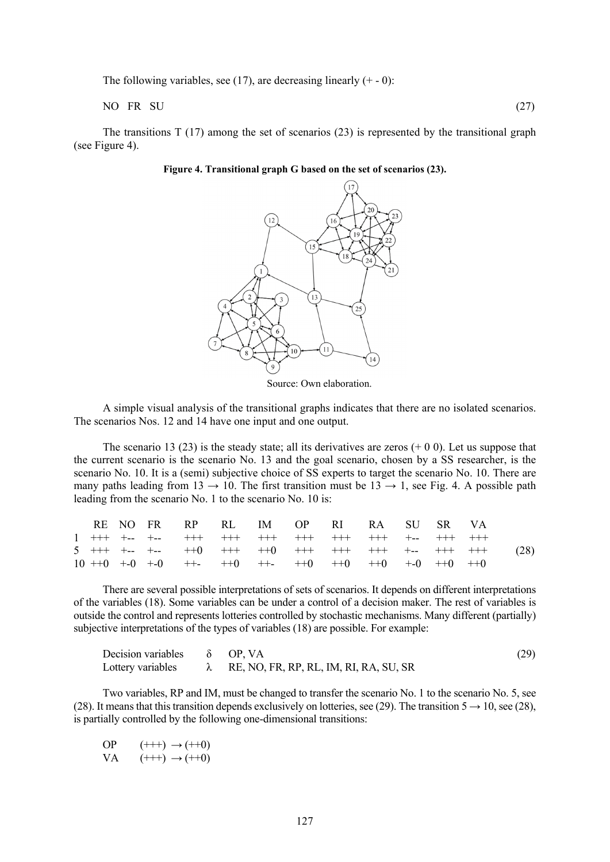The following variables, see (17), are decreasing linearly  $(+ - 0)$ :

NO FR SU  $(27)$ 

The transitions  $T(17)$  among the set of scenarios (23) is represented by the transitional graph (see Figure 4).



**Figure 4. Transitional graph G based on the set of scenarios (23).**

Source: Own elaboration.

A simple visual analysis of the transitional graphs indicates that there are no isolated scenarios. The scenarios Nos. 12 and 14 have one input and one output.

The scenario 13 (23) is the steady state; all its derivatives are zeros  $(+ 0 0)$ . Let us suppose that the current scenario is the scenario No. 13 and the goal scenario, chosen by a SS researcher, is the scenario No. 10. It is a (semi) subjective choice of SS experts to target the scenario No. 10. There are many paths leading from 13  $\rightarrow$  10. The first transition must be 13  $\rightarrow$  1, see Fig. 4. A possible path leading from the scenario No. 1 to the scenario No. 10 is:

|  |  | RE NO FRPRE IM OPRI RA SU SRVA |  |  |  |  |      |
|--|--|--------------------------------|--|--|--|--|------|
|  |  |                                |  |  |  |  |      |
|  |  |                                |  |  |  |  | (28) |
|  |  | $10 +0 +0 +0 +0 -0 +1$         |  |  |  |  |      |

There are several possible interpretations of sets of scenarios. It depends on different interpretations of the variables (18). Some variables can be under a control of a decision maker. The rest of variables is outside the control and represents lotteries controlled by stochastic mechanisms. Many different (partially) subjective interpretations of the types of variables (18) are possible. For example:

| Decision variables $\delta$ OP, VA |                                        | (29) |
|------------------------------------|----------------------------------------|------|
| Lottery variables                  | RE, NO, FR, RP, RL, IM, RI, RA, SU, SR |      |

Two variables, RP and IM, must be changed to transfer the scenario No. 1 to the scenario No. 5, see (28). It means that this transition depends exclusively on lotteries, see (29). The transition  $5 \rightarrow 10$ , see (28), is partially controlled by the following one-dimensional transitions:

| OP. | $(++) \rightarrow (++0)$ |
|-----|--------------------------|
| VA. | $(++) \rightarrow (++0)$ |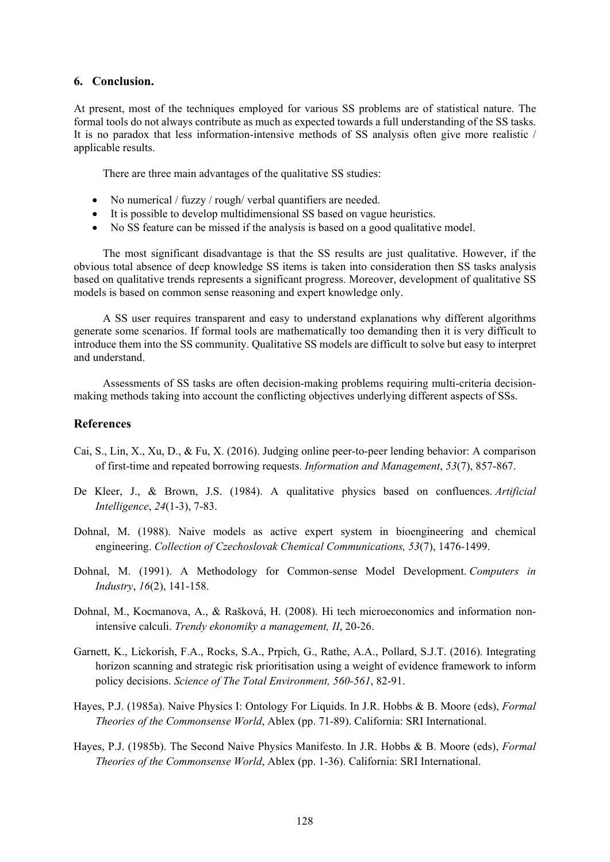#### **6. Conclusion.**

At present, most of the techniques employed for various SS problems are of statistical nature. The formal tools do not always contribute as much as expected towards a full understanding of the SS tasks. It is no paradox that less information-intensive methods of SS analysis often give more realistic / applicable results.

There are three main advantages of the qualitative SS studies:

- No numerical / fuzzy / rough/ verbal quantifiers are needed.
- It is possible to develop multidimensional SS based on vague heuristics.
- No SS feature can be missed if the analysis is based on a good qualitative model.

The most significant disadvantage is that the SS results are just qualitative. However, if the obvious total absence of deep knowledge SS items is taken into consideration then SS tasks analysis based on qualitative trends represents a significant progress. Moreover, development of qualitative SS models is based on common sense reasoning and expert knowledge only.

A SS user requires transparent and easy to understand explanations why different algorithms generate some scenarios. If formal tools are mathematically too demanding then it is very difficult to introduce them into the SS community. Qualitative SS models are difficult to solve but easy to interpret and understand.

Assessments of SS tasks are often decision-making problems requiring multi-criteria decisionmaking methods taking into account the conflicting objectives underlying different aspects of SSs.

#### **References**

- Cai, S., Lin, X., Xu, D., & Fu, X. (2016). Judging online peer-to-peer lending behavior: A comparison of first-time and repeated borrowing requests. *Information and Management*, *53*(7), 857-867.
- De Kleer, J., & Brown, J.S. (1984). A qualitative physics based on confluences. *Artificial Intelligence*, *24*(1-3), 7-83.
- Dohnal, M. (1988). Naive models as active expert system in bioengineering and chemical engineering. *Collection of Czechoslovak Chemical Communications, 53*(7), 1476-1499.
- Dohnal, M. (1991). A Methodology for Common-sense Model Development. *Computers in Industry*, *16*(2), 141-158.
- Dohnal, M., Kocmanova, A., & Rašková, H. (2008). Hi tech microeconomics and information nonintensive calculi. *Trendy ekonomiky a management, II*, 20-26.
- Garnett, K., Lickorish, F.A., Rocks, S.A., Prpich, G., Rathe, A.A., Pollard, S.J.T. (2016). Integrating horizon scanning and strategic risk prioritisation using a weight of evidence framework to inform policy decisions. *Science of The Total Environment, 560-561*, 82-91.
- Hayes, P.J. (1985a). Naive Physics I: Ontology For Liquids. In J.R. Hobbs & B. Moore (eds), *Formal Theories of the Commonsense World*, Ablex (pp. 71-89). California: SRI International.
- Hayes, P.J. (1985b). The Second Naive Physics Manifesto. In J.R. Hobbs & B. Moore (eds), *Formal Theories of the Commonsense World*, Ablex (pp. 1-36). California: SRI International.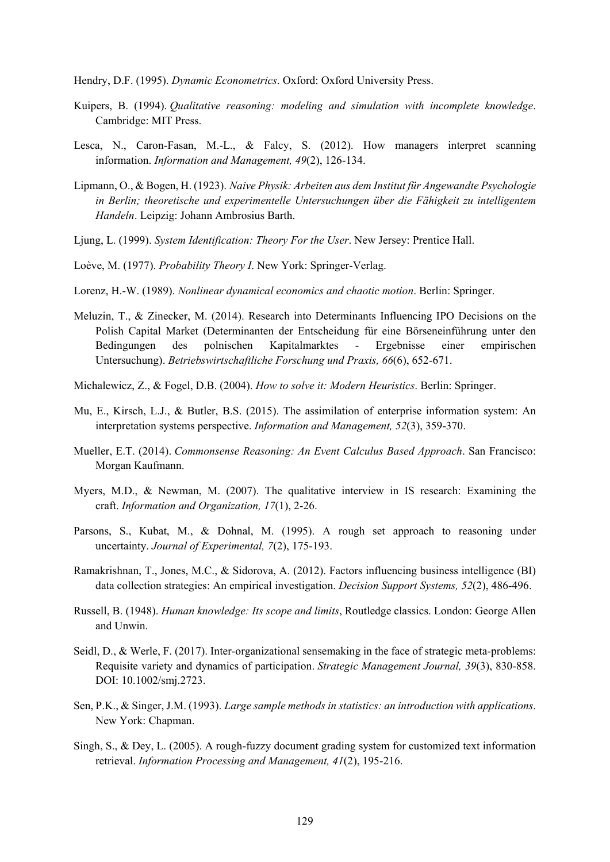Hendry, D.F. (1995). *Dynamic Econometrics*. Oxford: Oxford University Press.

- Kuipers, B. (1994). *Qualitative reasoning: modeling and simulation with incomplete knowledge*. Cambridge: MIT Press.
- Lesca, N., Caron-Fasan, M.-L., & Falcy, S. (2012). How managers interpret scanning information. *Information and Management, 49*(2), 126-134.
- Lipmann, O., & Bogen, H. (1923). *Naive Physik: Arbeiten aus dem Institut für Angewandte Psychologie in Berlin; theoretische und experimentelle Untersuchungen über die Fähigkeit zu intelligentem Handeln*. Leipzig: Johann Ambrosius Barth.
- Ljung, L. (1999). *System Identification: Theory For the User*. New Jersey: Prentice Hall.
- Loève, M. (1977). *Probability Theory I*. New York: Springer-Verlag.
- Lorenz, H.-W. (1989). *Nonlinear dynamical economics and chaotic motion*. Berlin: Springer.
- Meluzin, T., & Zinecker, M. (2014). Research into Determinants Influencing IPO Decisions on the Polish Capital Market (Determinanten der Entscheidung für eine Börseneinführung unter den Bedingungen des polnischen Kapitalmarktes - Ergebnisse einer empirischen Untersuchung). *Betriebswirtschaftliche Forschung und Praxis, 66*(6), 652-671.
- Michalewicz, Z., & Fogel, D.B. (2004). *How to solve it: Modern Heuristics*. Berlin: Springer.
- Mu, E., Kirsch, L.J., & Butler, B.S. (2015). The assimilation of enterprise information system: An interpretation systems perspective. *Information and Management, 52*(3), 359-370.
- Mueller, E.T. (2014). *Commonsense Reasoning: An Event Calculus Based Approach*. San Francisco: Morgan Kaufmann.
- Myers, M.D., & Newman, M. (2007). The qualitative interview in IS research: Examining the craft. *Information and Organization, 17*(1), 2-26.
- Parsons, S., Kubat, M., & Dohnal, M. (1995). A rough set approach to reasoning under uncertainty. *Journal of Experimental, 7*(2), 175-193.
- Ramakrishnan, T., Jones, M.C., & Sidorova, A. (2012). Factors influencing business intelligence (BI) data collection strategies: An empirical investigation. *Decision Support Systems, 52*(2), 486-496.
- Russell, B. (1948). *Human knowledge: Its scope and limits*, Routledge classics. London: George Allen and Unwin.
- Seidl, D., & Werle, F. (2017). Inter-organizational sensemaking in the face of strategic meta-problems: Requisite variety and dynamics of participation. *Strategic Management Journal, 39*(3), 830-858. DOI: 10.1002/smj.2723.
- Sen, P.K., & Singer, J.M. (1993). *Large sample methods in statistics: an introduction with applications*. New York: Chapman.
- Singh, S., & Dey, L. (2005). A rough-fuzzy document grading system for customized text information retrieval. *Information Processing and Management, 41*(2), 195-216.